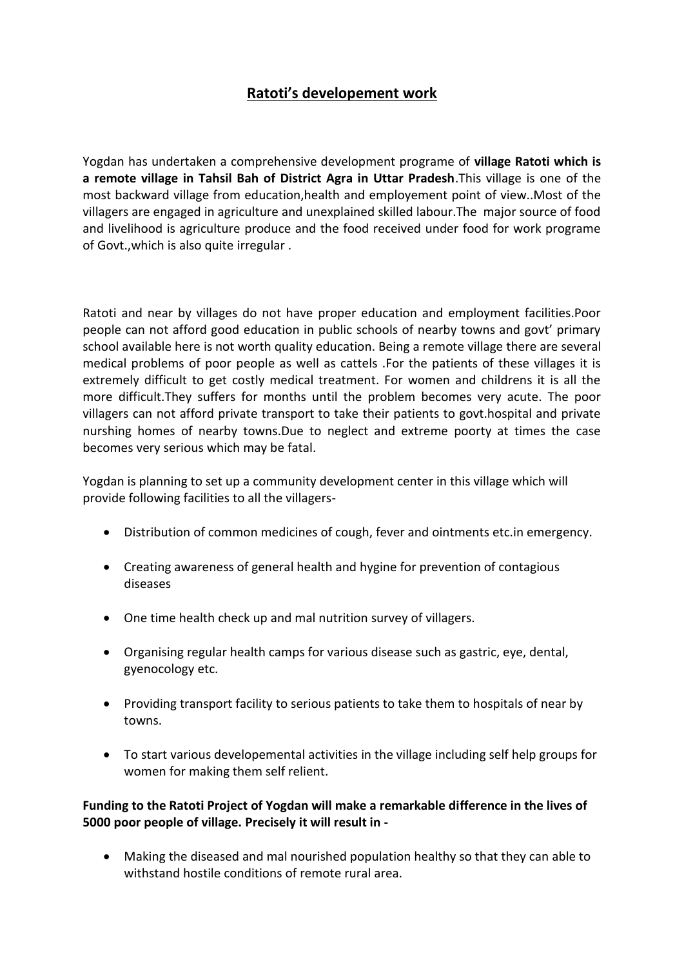# **Ratoti's developement work**

Yogdan has undertaken a comprehensive development programe of **village Ratoti which is a remote village in Tahsil Bah of District Agra in Uttar Pradesh**.This village is one of the most backward village from education,health and employement point of view..Most of the villagers are engaged in agriculture and unexplained skilled labour.The major source of food and livelihood is agriculture produce and the food received under food for work programe of Govt.,which is also quite irregular .

Ratoti and near by villages do not have proper education and employment facilities.Poor people can not afford good education in public schools of nearby towns and govt' primary school available here is not worth quality education. Being a remote village there are several medical problems of poor people as well as cattels .For the patients of these villages it is extremely difficult to get costly medical treatment. For women and childrens it is all the more difficult.They suffers for months until the problem becomes very acute. The poor villagers can not afford private transport to take their patients to govt.hospital and private nurshing homes of nearby towns.Due to neglect and extreme poorty at times the case becomes very serious which may be fatal.

Yogdan is planning to set up a community development center in this village which will provide following facilities to all the villagers-

- Distribution of common medicines of cough, fever and ointments etc.in emergency.
- Creating awareness of general health and hygine for prevention of contagious diseases
- One time health check up and mal nutrition survey of villagers.
- Organising regular health camps for various disease such as gastric, eye, dental, gyenocology etc.
- Providing transport facility to serious patients to take them to hospitals of near by towns.
- To start various developemental activities in the village including self help groups for women for making them self relient.

## **Funding to the Ratoti Project of Yogdan will make a remarkable difference in the lives of 5000 poor people of village. Precisely it will result in -**

 Making the diseased and mal nourished population healthy so that they can able to withstand hostile conditions of remote rural area.